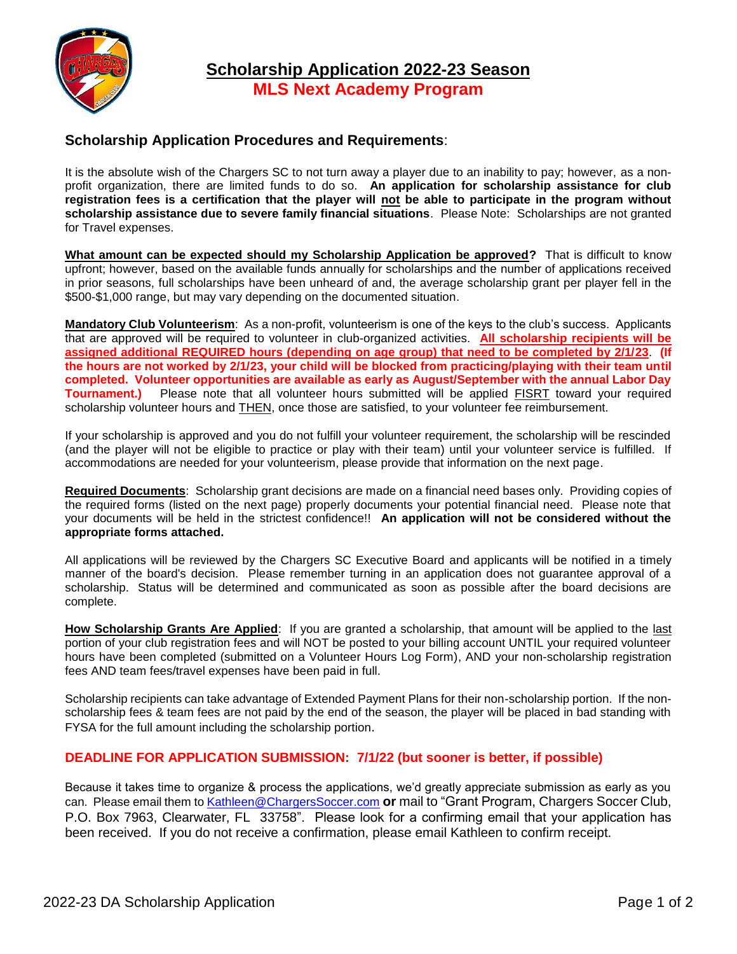

## **Scholarship Application Procedures and Requirements**:

It is the absolute wish of the Chargers SC to not turn away a player due to an inability to pay; however, as a nonprofit organization, there are limited funds to do so. **An application for scholarship assistance for club registration fees is a certification that the player will not be able to participate in the program without scholarship assistance due to severe family financial situations**. Please Note: Scholarships are not granted for Travel expenses.

**What amount can be expected should my Scholarship Application be approved?** That is difficult to know upfront; however, based on the available funds annually for scholarships and the number of applications received in prior seasons, full scholarships have been unheard of and, the average scholarship grant per player fell in the \$500-\$1,000 range, but may vary depending on the documented situation.

**Mandatory Club Volunteerism**: As a non-profit, volunteerism is one of the keys to the club's success. Applicants that are approved will be required to volunteer in club-organized activities. **All scholarship recipients will be assigned additional REQUIRED hours (depending on age group) that need to be completed by 2/1/23**. **(If the hours are not worked by 2/1/23, your child will be blocked from practicing/playing with their team until completed. Volunteer opportunities are available as early as August/September with the annual Labor Day Tournament.)** Please note that all volunteer hours submitted will be applied FISRT toward your required scholarship volunteer hours and THEN, once those are satisfied, to your volunteer fee reimbursement.

If your scholarship is approved and you do not fulfill your volunteer requirement, the scholarship will be rescinded (and the player will not be eligible to practice or play with their team) until your volunteer service is fulfilled. If accommodations are needed for your volunteerism, please provide that information on the next page.

**Required Documents**: Scholarship grant decisions are made on a financial need bases only. Providing copies of the required forms (listed on the next page) properly documents your potential financial need. Please note that your documents will be held in the strictest confidence!! **An application will not be considered without the appropriate forms attached.**

All applications will be reviewed by the Chargers SC Executive Board and applicants will be notified in a timely manner of the board's decision. Please remember turning in an application does not guarantee approval of a scholarship. Status will be determined and communicated as soon as possible after the board decisions are complete.

**How Scholarship Grants Are Applied**: If you are granted a scholarship, that amount will be applied to the last portion of your club registration fees and will NOT be posted to your billing account UNTIL your required volunteer hours have been completed (submitted on a Volunteer Hours Log Form), AND your non-scholarship registration fees AND team fees/travel expenses have been paid in full.

Scholarship recipients can take advantage of Extended Payment Plans for their non-scholarship portion. If the nonscholarship fees & team fees are not paid by the end of the season, the player will be placed in bad standing with FYSA for the full amount including the scholarship portion.

## **DEADLINE FOR APPLICATION SUBMISSION: 7/1/22 (but sooner is better, if possible)**

Because it takes time to organize & process the applications, we'd greatly appreciate submission as early as you can. Please email them to **Kathleen@ChargersSoccer.com or** mail to "Grant Program, Chargers Soccer Club, P.O. Box 7963, Clearwater, FL 33758". Please look for a confirming email that your application has been received. If you do not receive a confirmation, please email Kathleen to confirm receipt.